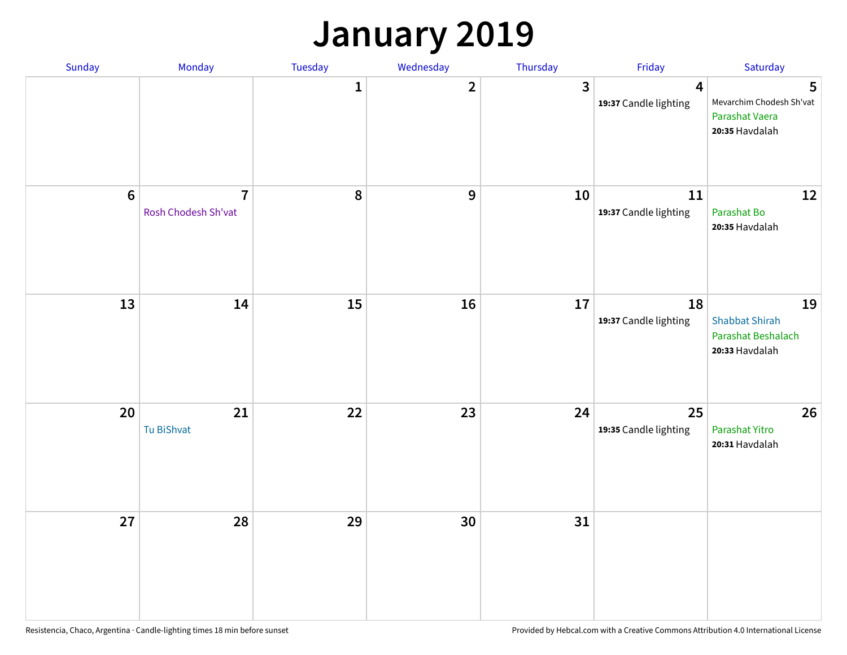### **January 2019**

| Sunday  | Monday                                | Tuesday          | Wednesday      | Thursday     | Friday                          | Saturday                                                            |
|---------|---------------------------------------|------------------|----------------|--------------|---------------------------------|---------------------------------------------------------------------|
|         |                                       | $\mathbf{1}$     | $\overline{2}$ | $\mathbf{3}$ | 4<br>19:37 Candle lighting      | 5<br>Mevarchim Chodesh Sh'vat<br>Parashat Vaera<br>20:35 Havdalah   |
| $\bf 6$ | $\overline{7}$<br>Rosh Chodesh Sh'vat | $\boldsymbol{8}$ | 9              | 10           | $11\,$<br>19:37 Candle lighting | 12<br>Parashat Bo<br>20:35 Havdalah                                 |
| 13      | 14                                    | 15               | 16             | 17           | 18<br>19:37 Candle lighting     | 19<br><b>Shabbat Shirah</b><br>Parashat Beshalach<br>20:33 Havdalah |
| 20      | 21<br>Tu BiShvat                      | 22               | 23             | 24           | 25<br>19:35 Candle lighting     | 26<br>Parashat Yitro<br>20:31 Havdalah                              |
| 27      | 28                                    | 29               | 30             | 31           |                                 |                                                                     |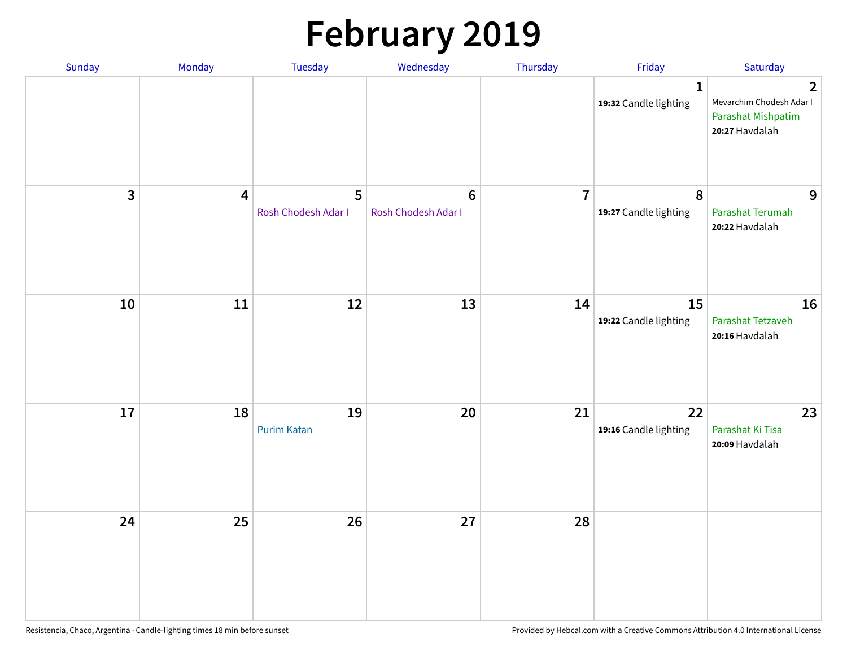# **February 2019**

| Sunday | Monday                  | <b>Tuesday</b>           | Wednesday                             | Thursday       | Friday                                    | Saturday                                                                           |
|--------|-------------------------|--------------------------|---------------------------------------|----------------|-------------------------------------------|------------------------------------------------------------------------------------|
|        |                         |                          |                                       |                | $\mathbf{1}$<br>19:32 Candle lighting     | $\overline{2}$<br>Mevarchim Chodesh Adar I<br>Parashat Mishpatim<br>20:27 Havdalah |
| 3      | $\overline{\mathbf{4}}$ | 5<br>Rosh Chodesh Adar I | $6\phantom{a}$<br>Rosh Chodesh Adar I | $\overline{7}$ | $\boldsymbol{8}$<br>19:27 Candle lighting | 9<br>Parashat Terumah<br>20:22 Havdalah                                            |
| $10\,$ | $11\,$                  | 12                       | 13                                    | 14             | 15<br>19:22 Candle lighting               | 16<br>Parashat Tetzaveh<br>20:16 Havdalah                                          |
| 17     | 18                      | 19<br><b>Purim Katan</b> | 20                                    | 21             | 22<br>19:16 Candle lighting               | 23<br>Parashat Ki Tisa<br>20:09 Havdalah                                           |
| 24     | 25                      | 26                       | 27                                    | 28             |                                           |                                                                                    |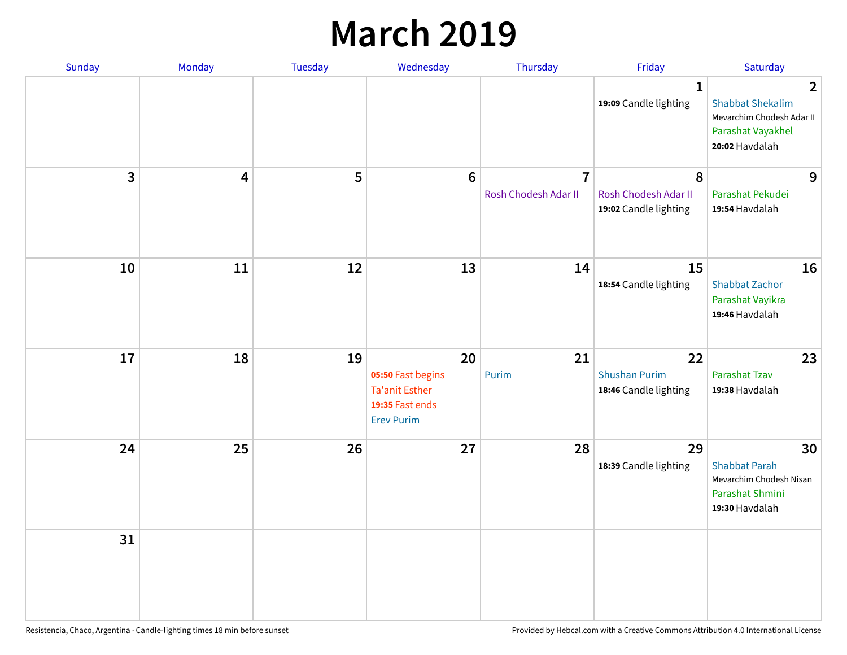### **March 2019**

| Sunday         | Monday | Tuesday | Wednesday                                                                                | Thursday                               | Friday                                              | Saturday                                                                                                      |
|----------------|--------|---------|------------------------------------------------------------------------------------------|----------------------------------------|-----------------------------------------------------|---------------------------------------------------------------------------------------------------------------|
|                |        |         |                                                                                          |                                        | $\mathbf{1}$<br>19:09 Candle lighting               | $\overline{2}$<br><b>Shabbat Shekalim</b><br>Mevarchim Chodesh Adar II<br>Parashat Vayakhel<br>20:02 Havdalah |
| $\overline{3}$ | 4      | 5       | $6\phantom{1}6$                                                                          | $\overline{7}$<br>Rosh Chodesh Adar II | 8<br>Rosh Chodesh Adar II<br>19:02 Candle lighting  | 9<br>Parashat Pekudei<br>19:54 Havdalah                                                                       |
| 10             | 11     | 12      | 13                                                                                       | 14                                     | 15<br>18:54 Candle lighting                         | 16<br><b>Shabbat Zachor</b><br>Parashat Vayikra<br>19:46 Havdalah                                             |
| 17             | 18     | 19      | 20<br>05:50 Fast begins<br><b>Ta'anit Esther</b><br>19:35 Fast ends<br><b>Erev Purim</b> | 21<br>Purim                            | 22<br><b>Shushan Purim</b><br>18:46 Candle lighting | 23<br>Parashat Tzav<br>19:38 Havdalah                                                                         |
| 24             | 25     | 26      | 27                                                                                       | 28                                     | 29<br>18:39 Candle lighting                         | 30<br><b>Shabbat Parah</b><br>Mevarchim Chodesh Nisan<br>Parashat Shmini<br>19:30 Havdalah                    |
| 31             |        |         |                                                                                          |                                        |                                                     |                                                                                                               |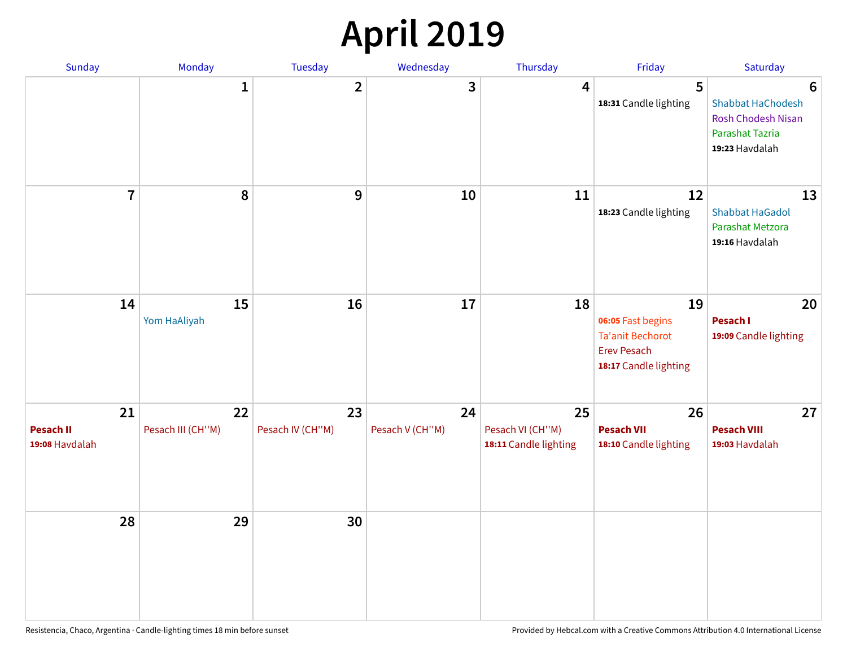## **April 2019**

| Sunday                                   | Monday                  | Tuesday                | Wednesday             | Thursday                                        | Friday                                                                                            | Saturday                                                                                 |
|------------------------------------------|-------------------------|------------------------|-----------------------|-------------------------------------------------|---------------------------------------------------------------------------------------------------|------------------------------------------------------------------------------------------|
|                                          | $\mathbf{1}$            | $\overline{2}$         | 3                     | 4                                               | 5<br>18:31 Candle lighting                                                                        | 6<br>Shabbat HaChodesh<br><b>Rosh Chodesh Nisan</b><br>Parashat Tazria<br>19:23 Havdalah |
| $\overline{7}$                           | 8                       | $\boldsymbol{9}$       | 10                    | 11                                              | 12<br>18:23 Candle lighting                                                                       | 13<br><b>Shabbat HaGadol</b><br>Parashat Metzora<br>19:16 Havdalah                       |
| 14                                       | 15<br>Yom HaAliyah      | 16                     | 17                    | 18                                              | 19<br>06:05 Fast begins<br><b>Ta'anit Bechorot</b><br><b>Erev Pesach</b><br>18:17 Candle lighting | 20<br>Pesach I<br>19:09 Candle lighting                                                  |
| 21<br><b>Pesach II</b><br>19:08 Havdalah | 22<br>Pesach III (CH"M) | 23<br>Pesach IV (CH"M) | 24<br>Pesach V (CH"M) | 25<br>Pesach VI (CH"M)<br>18:11 Candle lighting | 26<br><b>Pesach VII</b><br>18:10 Candle lighting                                                  | 27<br><b>Pesach VIII</b><br>19:03 Havdalah                                               |
| 28                                       | 29                      | 30                     |                       |                                                 |                                                                                                   |                                                                                          |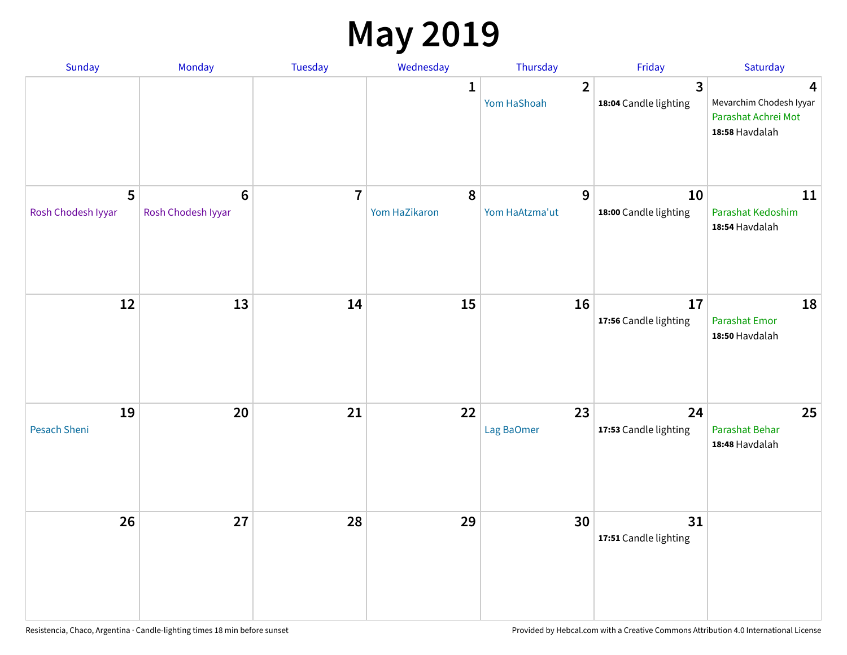### **May 2019**

| Sunday                  | Monday                                | Tuesday        | Wednesday                  | Thursday                      | Friday                                  | Saturday                                                              |
|-------------------------|---------------------------------------|----------------|----------------------------|-------------------------------|-----------------------------------------|-----------------------------------------------------------------------|
|                         |                                       |                | 1                          | $\overline{2}$<br>Yom HaShoah | $\overline{3}$<br>18:04 Candle lighting | 4<br>Mevarchim Chodesh Iyyar<br>Parashat Achrei Mot<br>18:58 Havdalah |
| 5<br>Rosh Chodesh Iyyar | $6\phantom{1}6$<br>Rosh Chodesh Iyyar | $\overline{7}$ | $\pmb{8}$<br>Yom HaZikaron | 9<br>Yom HaAtzma'ut           | 10<br>18:00 Candle lighting             | 11<br>Parashat Kedoshim<br>18:54 Havdalah                             |
| 12                      | 13                                    | 14             | 15                         | 16                            | 17<br>17:56 Candle lighting             | 18<br>Parashat Emor<br>18:50 Havdalah                                 |
| 19<br>Pesach Sheni      | 20                                    | 21             | 22                         | 23<br>Lag BaOmer              | 24<br>17:53 Candle lighting             | 25<br>Parashat Behar<br>18:48 Havdalah                                |
| 26                      | 27                                    | 28             | 29                         | 30                            | 31<br>17:51 Candle lighting             |                                                                       |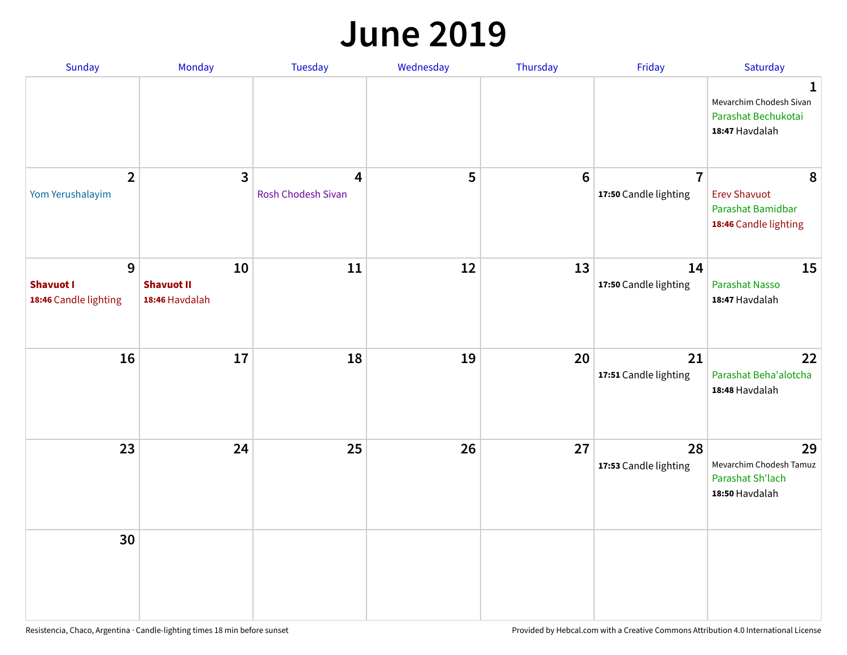#### **June 2019**

| Sunday                                         | Monday                                    | Tuesday                 | Wednesday | Thursday        | Friday                                  | Saturday                                                               |
|------------------------------------------------|-------------------------------------------|-------------------------|-----------|-----------------|-----------------------------------------|------------------------------------------------------------------------|
|                                                |                                           |                         |           |                 |                                         | 1<br>Mevarchim Chodesh Sivan<br>Parashat Bechukotai<br>18:47 Havdalah  |
| $\overline{2}$<br>Yom Yerushalayim             | $\mathbf{3}$                              | 4<br>Rosh Chodesh Sivan | 5         | $6\phantom{1}6$ | $\overline{7}$<br>17:50 Candle lighting | 8<br><b>Erev Shavuot</b><br>Parashat Bamidbar<br>18:46 Candle lighting |
| 9<br><b>Shavuot I</b><br>18:46 Candle lighting | 10<br><b>Shavuot II</b><br>18:46 Havdalah | 11                      | 12        | 13              | 14<br>17:50 Candle lighting             | 15<br><b>Parashat Nasso</b><br>18:47 Havdalah                          |
| 16                                             | 17                                        | 18                      | 19        | 20              | 21<br>17:51 Candle lighting             | 22<br>Parashat Beha'alotcha<br>18:48 Havdalah                          |
| 23                                             | 24                                        | 25                      | 26        | 27              | 28<br>17:53 Candle lighting             | 29<br>Mevarchim Chodesh Tamuz<br>Parashat Sh'lach<br>18:50 Havdalah    |
| 30                                             |                                           |                         |           |                 |                                         |                                                                        |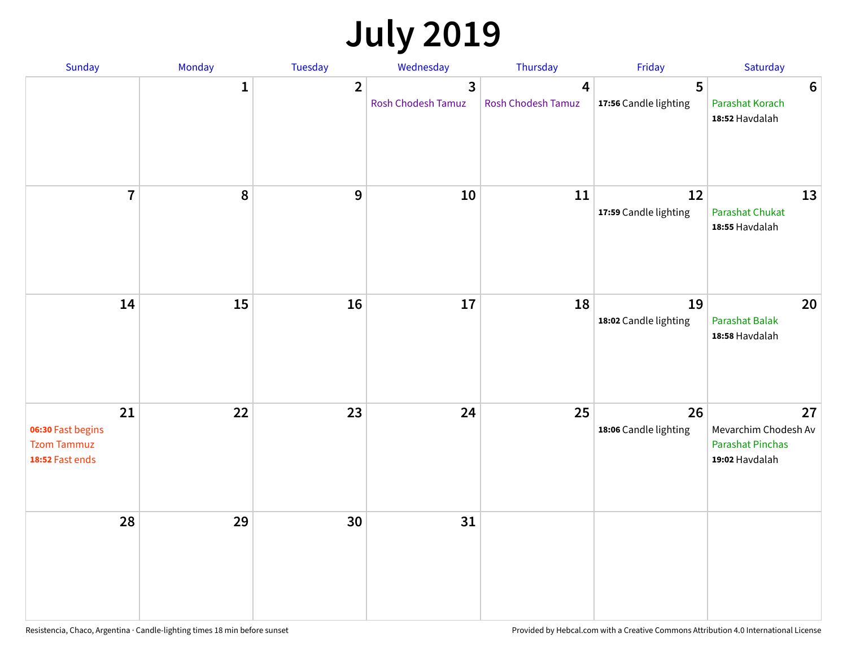# **July 2019**

| Sunday                                                           | Monday       | Tuesday        | Wednesday                                     | Thursday                | Friday                      | Saturday                                                                |
|------------------------------------------------------------------|--------------|----------------|-----------------------------------------------|-------------------------|-----------------------------|-------------------------------------------------------------------------|
|                                                                  | $\mathbf{1}$ | $\overline{2}$ | $\overline{\mathbf{3}}$<br>Rosh Chodesh Tamuz | 4<br>Rosh Chodesh Tamuz | 5<br>17:56 Candle lighting  | $6\phantom{1}6$<br>Parashat Korach<br>18:52 Havdalah                    |
| $\overline{\mathbf{7}}$                                          | 8            | 9              | 10                                            | 11                      | 12<br>17:59 Candle lighting | 13<br><b>Parashat Chukat</b><br>18:55 Havdalah                          |
| 14                                                               | 15           | 16             | 17                                            | 18                      | 19<br>18:02 Candle lighting | 20<br><b>Parashat Balak</b><br>18:58 Havdalah                           |
| 21<br>06:30 Fast begins<br><b>Tzom Tammuz</b><br>18:52 Fast ends | 22           | 23             | 24                                            | 25                      | 26<br>18:06 Candle lighting | 27<br>Mevarchim Chodesh Av<br><b>Parashat Pinchas</b><br>19:02 Havdalah |
| 28                                                               | 29           | 30             | 31                                            |                         |                             |                                                                         |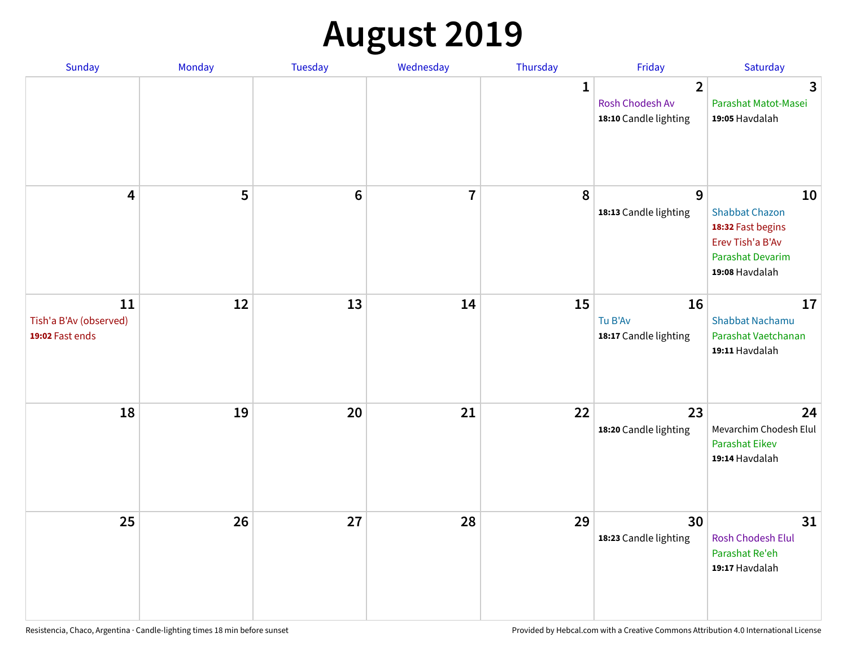# **August 2019**

| Sunday                                          | Monday | Tuesday         | Wednesday      | Thursday     | Friday                                                     | Saturday                                                                                                   |
|-------------------------------------------------|--------|-----------------|----------------|--------------|------------------------------------------------------------|------------------------------------------------------------------------------------------------------------|
|                                                 |        |                 |                | $\mathbf{1}$ | $\overline{2}$<br>Rosh Chodesh Av<br>18:10 Candle lighting | $\overline{3}$<br>Parashat Matot-Masei<br>19:05 Havdalah                                                   |
| $\overline{\mathbf{4}}$                         | 5      | $6\phantom{1}6$ | $\overline{7}$ | 8            | 9<br>18:13 Candle lighting                                 | 10<br><b>Shabbat Chazon</b><br>18:32 Fast begins<br>Erev Tish'a B'Av<br>Parashat Devarim<br>19:08 Havdalah |
| 11<br>Tish'a B'Av (observed)<br>19:02 Fast ends | 12     | 13              | 14             | 15           | 16<br>Tu B'Av<br>18:17 Candle lighting                     | 17<br><b>Shabbat Nachamu</b><br>Parashat Vaetchanan<br>19:11 Havdalah                                      |
| 18                                              | 19     | 20              | 21             | 22           | 23<br>18:20 Candle lighting                                | 24<br>Mevarchim Chodesh Elul<br><b>Parashat Eikev</b><br>19:14 Havdalah                                    |
| 25                                              | 26     | 27              | 28             | 29           | 30<br>18:23 Candle lighting                                | 31<br><b>Rosh Chodesh Elul</b><br>Parashat Re'eh<br>19:17 Havdalah                                         |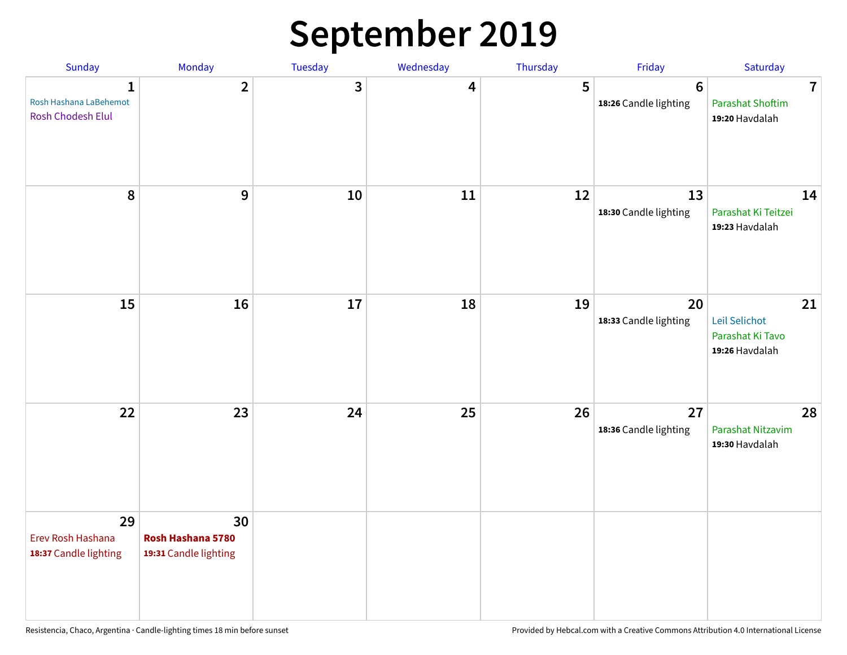## **September 2019**

| Sunday                                                      | Monday                                           | Tuesday | Wednesday | Thursday | Friday                                   | Saturday                                                             |
|-------------------------------------------------------------|--------------------------------------------------|---------|-----------|----------|------------------------------------------|----------------------------------------------------------------------|
| $\mathbf{1}$<br>Rosh Hashana LaBehemot<br>Rosh Chodesh Elul | $\overline{2}$                                   | 3       | 4         | 5        | $6\phantom{1}6$<br>18:26 Candle lighting | $\overline{\mathbf{7}}$<br><b>Parashat Shoftim</b><br>19:20 Havdalah |
| 8                                                           | 9                                                | 10      | 11        | 12       | 13<br>18:30 Candle lighting              | 14<br>Parashat Ki Teitzei<br>19:23 Havdalah                          |
| 15                                                          | 16                                               | 17      | 18        | 19       | 20<br>18:33 Candle lighting              | 21<br>Leil Selichot<br>Parashat Ki Tavo<br>19:26 Havdalah            |
| 22                                                          | 23                                               | 24      | 25        | 26       | 27<br>18:36 Candle lighting              | 28<br>Parashat Nitzavim<br>19:30 Havdalah                            |
| 29<br>Erev Rosh Hashana<br>18:37 Candle lighting            | 30<br>Rosh Hashana 5780<br>19:31 Candle lighting |         |           |          |                                          |                                                                      |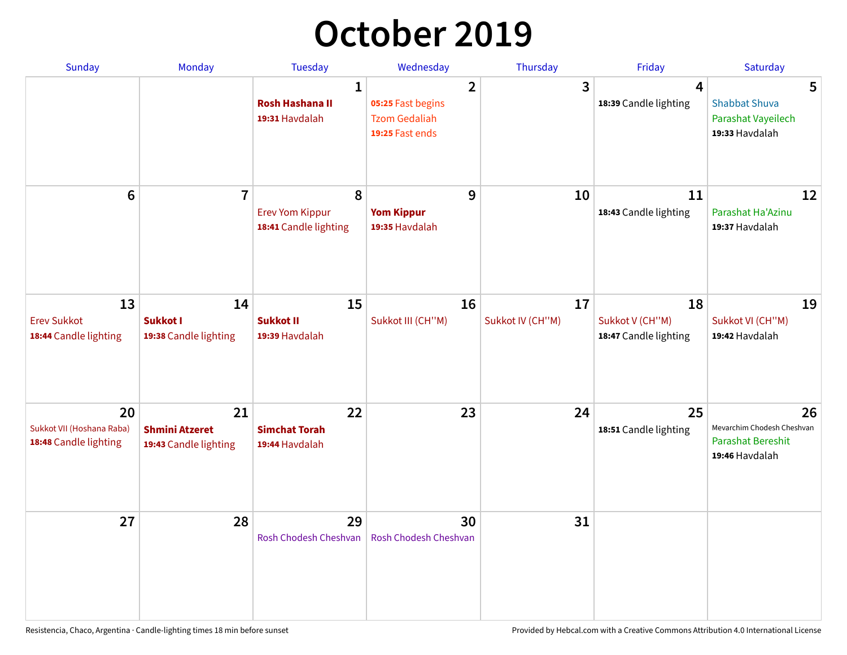## **October 2019**

| <b>Sunday</b>                                            | <b>Monday</b>                                        | <b>Tuesday</b>                                           | Wednesday                                                                      | Thursday               | Friday                                         | Saturday                                                                       |
|----------------------------------------------------------|------------------------------------------------------|----------------------------------------------------------|--------------------------------------------------------------------------------|------------------------|------------------------------------------------|--------------------------------------------------------------------------------|
|                                                          |                                                      | $\mathbf{1}$<br><b>Rosh Hashana II</b><br>19:31 Havdalah | $\overline{2}$<br>05:25 Fast begins<br><b>Tzom Gedaliah</b><br>19:25 Fast ends | 3                      | $\overline{4}$<br>18:39 Candle lighting        | 5<br><b>Shabbat Shuva</b><br>Parashat Vayeilech<br>19:33 Havdalah              |
| $6\phantom{1}$                                           | $\overline{7}$                                       | 8<br><b>Erev Yom Kippur</b><br>18:41 Candle lighting     | 9<br><b>Yom Kippur</b><br>19:35 Havdalah                                       | 10                     | 11<br>18:43 Candle lighting                    | 12<br>Parashat Ha'Azinu<br>19:37 Havdalah                                      |
| 13<br><b>Erev Sukkot</b><br>18:44 Candle lighting        | 14<br>Sukkot I<br>19:38 Candle lighting              | 15<br><b>Sukkot II</b><br>19:39 Havdalah                 | 16<br>Sukkot III (CH"M)                                                        | 17<br>Sukkot IV (CH"M) | 18<br>Sukkot V (CH"M)<br>18:47 Candle lighting | 19<br>Sukkot VI (CH"M)<br>19:42 Havdalah                                       |
| 20<br>Sukkot VII (Hoshana Raba)<br>18:48 Candle lighting | 21<br><b>Shmini Atzeret</b><br>19:43 Candle lighting | 22<br><b>Simchat Torah</b><br>19:44 Havdalah             | 23                                                                             | 24                     | 25<br>18:51 Candle lighting                    | 26<br>Mevarchim Chodesh Cheshvan<br><b>Parashat Bereshit</b><br>19:46 Havdalah |
| 27                                                       | 28                                                   | 29<br>Rosh Chodesh Cheshvan                              | 30<br>Rosh Chodesh Cheshvan                                                    | 31                     |                                                |                                                                                |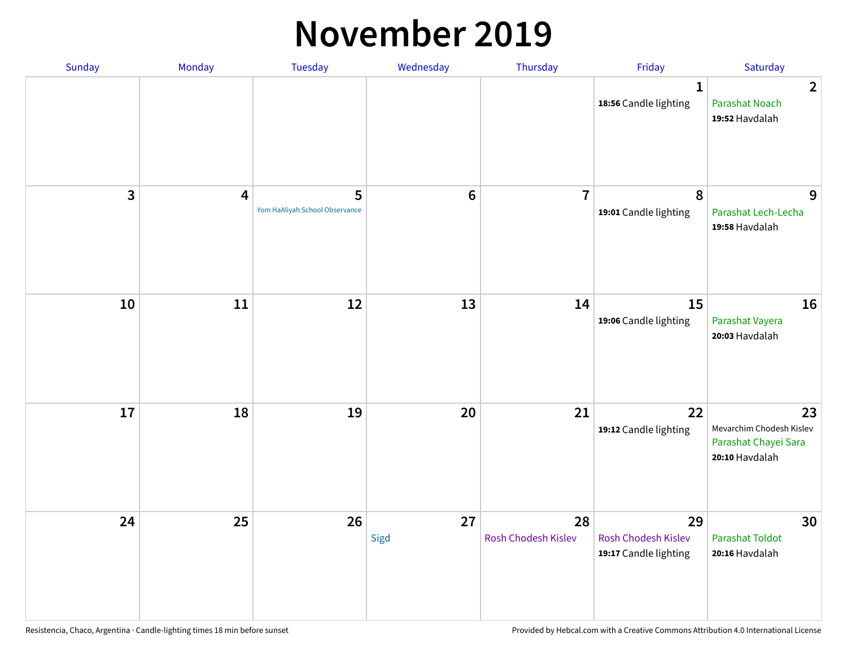#### **November 2019**

| Sunday | Monday                  | Tuesday                             | Wednesday  | Thursday                  | Friday                                                    | Saturday                                                                 |
|--------|-------------------------|-------------------------------------|------------|---------------------------|-----------------------------------------------------------|--------------------------------------------------------------------------|
|        |                         |                                     |            |                           | 1<br>18:56 Candle lighting                                | $\overline{2}$<br><b>Parashat Noach</b><br>19:52 Havdalah                |
| 3      | $\overline{\mathbf{4}}$ | 5<br>Yom HaAliyah School Observance | $\bf 6$    | $\overline{7}$            | 8<br>19:01 Candle lighting                                | 9<br>Parashat Lech-Lecha<br>19:58 Havdalah                               |
| 10     | $11\,$                  | 12                                  | 13         | 14                        | 15<br>19:06 Candle lighting                               | 16<br>Parashat Vayera<br>20:03 Havdalah                                  |
| 17     | 18                      | 19                                  | 20         | 21                        | 22<br>19:12 Candle lighting                               | 23<br>Mevarchim Chodesh Kislev<br>Parashat Chayei Sara<br>20:10 Havdalah |
| 24     | 25                      | 26                                  | 27<br>Sigd | 28<br>Rosh Chodesh Kislev | 29<br><b>Rosh Chodesh Kislev</b><br>19:17 Candle lighting | 30<br><b>Parashat Toldot</b><br>20:16 Havdalah                           |